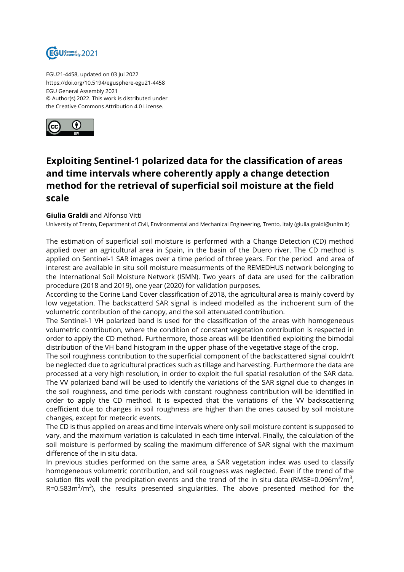

EGU21-4458, updated on 03 Jul 2022 https://doi.org/10.5194/egusphere-egu21-4458 EGU General Assembly 2021 © Author(s) 2022. This work is distributed under the Creative Commons Attribution 4.0 License.



## **Exploiting Sentinel-1 polarized data for the classification of areas and time intervals where coherently apply a change detection method for the retrieval of superficial soil moisture at the field scale**

## **Giulia Graldi** and Alfonso Vitti

University of Trento, Department of Civil, Environmental and Mechanical Engineering, Trento, Italy (giulia.graldi@unitn.it)

The estimation of superficial soil moisture is performed with a Change Detection (CD) method applied over an agricultural area in Spain, in the basin of the Duero river. The CD method is applied on Sentinel-1 SAR images over a time period of three years. For the period and area of interest are available in situ soil moisture measurments of the REMEDHUS network belonging to the International Soil Moisture Network (ISMN). Two years of data are used for the calibration procedure (2018 and 2019), one year (2020) for validation purposes.

According to the Corine Land Cover classification of 2018, the agricultural area is mainly coverd by low vegetation. The backscatterd SAR signal is indeed modelled as the inchoerent sum of the volumetric contribution of the canopy, and the soil attenuated contribution.

The Sentinel-1 VH polarized band is used for the classification of the areas with homogeneous volumetric contribution, where the condition of constant vegetation contribution is respected in order to apply the CD method. Furthermore, those areas will be identified exploiting the bimodal distribution of the VH band histogram in the upper phase of the vegetative stage of the crop.

The soil roughness contribution to the superficial component of the backscattered signal couldn't be neglected due to agricultural practices such as tillage and harvesting. Furthermore the data are processed at a very high resolution, in order to exploit the full spatial resolution of the SAR data. The VV polarized band will be used to identify the variations of the SAR signal due to changes in the soil roughness, and time periods with constant roughness contribution will be identified in order to apply the CD method. It is expected that the variations of the VV backscattering coefficient due to changes in soil roughness are higher than the ones caused by soil moisture changes, except for meteoric events.

The CD is thus applied on areas and time intervals where only soil moisture content is supposed to vary, and the maximum variation is calculated in each time interval. Finally, the calculation of the soil moisture is performed by scaling the maximum difference of SAR signal with the maximum difference of the in situ data.

In previous studies performed on the same area, a SAR vegetation index was used to classify homogeneous volumetric contribution, and soil rougness was neglected. Even if the trend of the solution fits well the precipitation events and the trend of the in situ data (RMSE=0.096m $^3\prime$ m $^3$ , R=0.583m<sup>3</sup>/m<sup>3</sup>), the results presented singularities. The above presented method for the